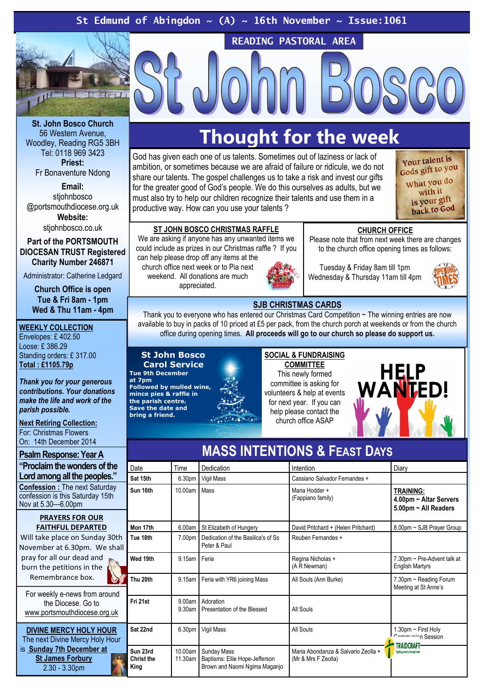St Edmund of Abingdon  $\sim$  (A)  $\sim$  16th November  $\sim$  Issue:1061



St. John Bosco Church 56 Western Avenue, Woodley, Reading RG5 3BH Tel: 0118 969 3423 Priest: Fr Bonaventure Ndong

Email: stiohnbosco @portsmouthdiocese.org.uk

Website:

stjohnbosco.co.uk

Part of the PORTSMOUTH DIOCESAN TRUST Registered Charity Number 246871

Administrator: Catherine Ledgard

Church Office is open Tue & Fri 8am - 1pm Wed & Thu 11am - 4pm

### WEEKLY COLLECTION

Envelopes: £ 402.50 Loose: £ 386.29 Standing orders: £ 317.00 Total : £1105.79p

Thank you for your generous contributions. Your donations make the life and work of the parish possible.

Next Retiring Collection: For: Christmas Flowers On: 14th December 2014

Psalm Response: Year A "Proclaim the wonders of the Lord among all the peoples."

Confession : The next Saturday confession is this Saturday 15th Nov at 5.30—6.00pm

#### PRAYERS FOR OUR FAITHFUL DEPARTED

Will take place on Sunday 30th November at 6.30pm. We shall pray for all our dead and burn the petitions in the Remembrance box.

For weekly e-news from around the Diocese. Go to www.portsmouthdiocese.org.uk

DIVINE MERCY HOLY HOUR The next Divine Mercy Holy Hour is Sunday 7th December at St James Forbury 2.30 - 3.30pm

## Thought for the week

READING PASTORAL AREA

God has given each one of us talents. Sometimes out of laziness or lack of ambition, or sometimes because we are afraid of failure or ridicule, we do not share our talents. The gospel challenges us to take a risk and invest our gifts for the greater good of God's people. We do this ourselves as adults, but we must also try to help our children recognize their talents and use them in a productive way. How can you use your talents ?



## ST JOHN BOSCO CHRISTMAS RAFFLE

We are asking if anyone has any unwanted items we could include as prizes in our Christmas raffle ? If you can help please drop off any items at the

church office next week or to Pia next weekend. All donations are much appreciated.



Tuesday & Friday 8am till 1pm Wednesday & Thursday 11am till 4pm

CHURCH OFFICE Please note that from next week there are changes to the church office opening times as follows:



## SJB CHRISTMAS CARDS

Thank you to everyone who has entered our Christmas Card Competition ~ The winning entries are now available to buy in packs of 10 priced at £5 per pack, from the church porch at weekends or from the church office during opening times. All proceeds will go to our church so please do support us.

## St John Bosco Carol Service

Tue 9th December at 7pm Followed by mulled wine, mince pies & raffle in the parish centre. Save the date and bring a friend.

**COMMITTEE** This newly formed committee is asking for volunteers & help at events for next year. If you can help please contact the church office ASAP



| Date                                  | Time                | Dedication                                                                            | Intention                                                  | Diary                                                              |
|---------------------------------------|---------------------|---------------------------------------------------------------------------------------|------------------------------------------------------------|--------------------------------------------------------------------|
| Sat 15th                              | 6.30pm              | Vigil Mass                                                                            | Cassiano Salvador Fernandes +                              |                                                                    |
| Sun 16th                              | 10.00am             | Mass                                                                                  | Maria Hodder +<br>(Fappiano family)                        | <b>TRAINING:</b><br>4.00pm ~ Altar Servers<br>5.00pm ~ All Readers |
| Mon 17th                              | 6.00am              | St Elizabeth of Hungery                                                               | David Pritchard + (Helen Pritchard)                        | 8.00pm ~ SJB Prayer Group                                          |
| Tue 18th                              | 7.00pm              | Dedication of the Basilica's of Ss<br>Peter & Paul                                    | Reuben Fernandes +                                         |                                                                    |
| Wed 19th                              | 9.15am              | Feria                                                                                 | Regina Nicholas +<br>(A R Newman)                          | 7.30pm ~ Pre-Advent talk at<br><b>English Martyrs</b>              |
| Thu 20th                              | $9.15$ am           | Feria with YR6 joining Mass                                                           | All Souls (Ann Burke)                                      | 7.30pm ~ Reading Forum<br>Meeting at St Anne's                     |
| Fri 21st                              | 9.00am<br>$9.30$ am | Adoration<br>Presentation of the Blessed                                              | All Souls                                                  |                                                                    |
| Sat 22nd                              | 6.30pm              | Vigil Mass                                                                            | All Souls                                                  | 1.30pm $\sim$ First Holy<br>Communica Session                      |
| Sun 23rd<br><b>Christ the</b><br>King | 10.00am<br>11.30am  | <b>Sunday Mass</b><br>Baptisms: Ellie Hope-Jefferson<br>Brown and Naomi Ngima Maganjo | Maria Abondanza & Salvario Zeolla +<br>(Mr & Mrs F Zeolla) | TRAIDCRAFT<br>Fighting poverty through trade                       |

## MASS INTENTIONS & FEAST